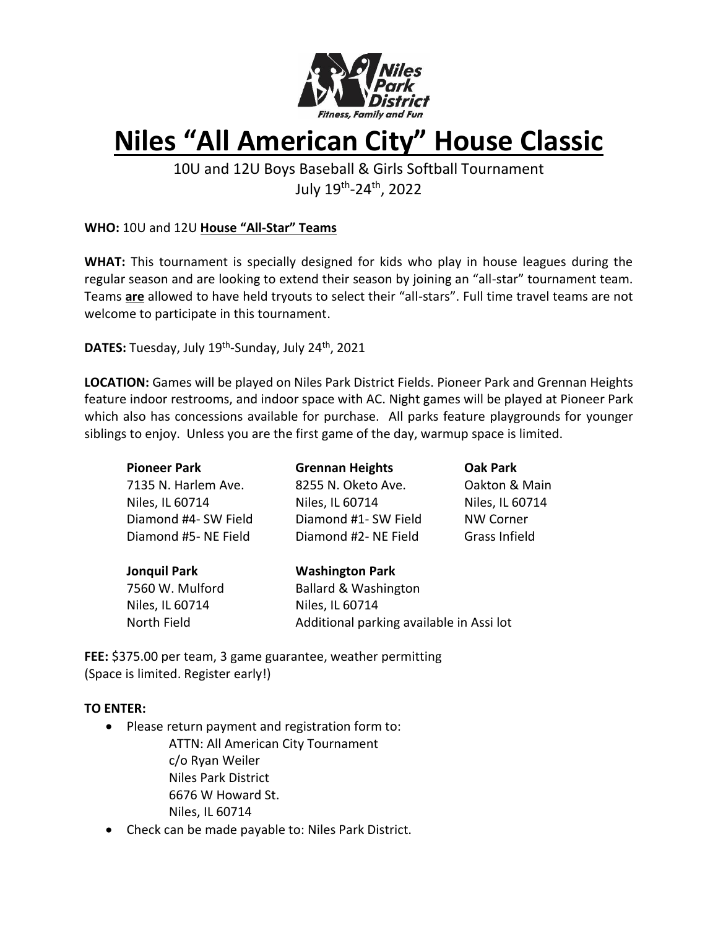

# **Niles "All American City" House Classic**

10U and 12U Boys Baseball & Girls Softball Tournament July 19th -24 th, 2022

**WHO:** 10U and 12U **House "All-Star" Teams**

**WHAT:** This tournament is specially designed for kids who play in house leagues during the regular season and are looking to extend their season by joining an "all-star" tournament team. Teams **are** allowed to have held tryouts to select their "all-stars". Full time travel teams are not welcome to participate in this tournament.

**DATES:** Tuesday, July 19<sup>th</sup>-Sunday, July 24<sup>th</sup>, 2021

**LOCATION:** Games will be played on Niles Park District Fields. Pioneer Park and Grennan Heights feature indoor restrooms, and indoor space with AC. Night games will be played at Pioneer Park which also has concessions available for purchase. All parks feature playgrounds for younger siblings to enjoy. Unless you are the first game of the day, warmup space is limited.

| <b>Pioneer Park</b>  | <b>Grennan Heights</b>                   | <b>Oak Park</b>      |  |  |  |  |  |
|----------------------|------------------------------------------|----------------------|--|--|--|--|--|
| 7135 N. Harlem Ave.  | 8255 N. Oketo Ave.                       | Oakton & Main        |  |  |  |  |  |
| Niles, IL 60714      | Niles, IL 60714                          | Niles, IL 60714      |  |  |  |  |  |
| Diamond #4- SW Field | Diamond #1- SW Field                     | <b>NW Corner</b>     |  |  |  |  |  |
| Diamond #5- NE Field | Diamond #2- NE Field                     | <b>Grass Infield</b> |  |  |  |  |  |
| <b>Jonquil Park</b>  | <b>Washington Park</b>                   |                      |  |  |  |  |  |
| 7560 W. Mulford      | <b>Ballard &amp; Washington</b>          |                      |  |  |  |  |  |
| Niles, IL 60714      | Niles, IL 60714                          |                      |  |  |  |  |  |
| North Field          | Additional parking available in Assi lot |                      |  |  |  |  |  |
|                      |                                          |                      |  |  |  |  |  |

**FEE:** \$375.00 per team, 3 game guarantee, weather permitting (Space is limited. Register early!)

# **TO ENTER:**

- Please return payment and registration form to:
	- ATTN: All American City Tournament c/o Ryan Weiler Niles Park District 6676 W Howard St. Niles, IL 60714
- Check can be made payable to: Niles Park District.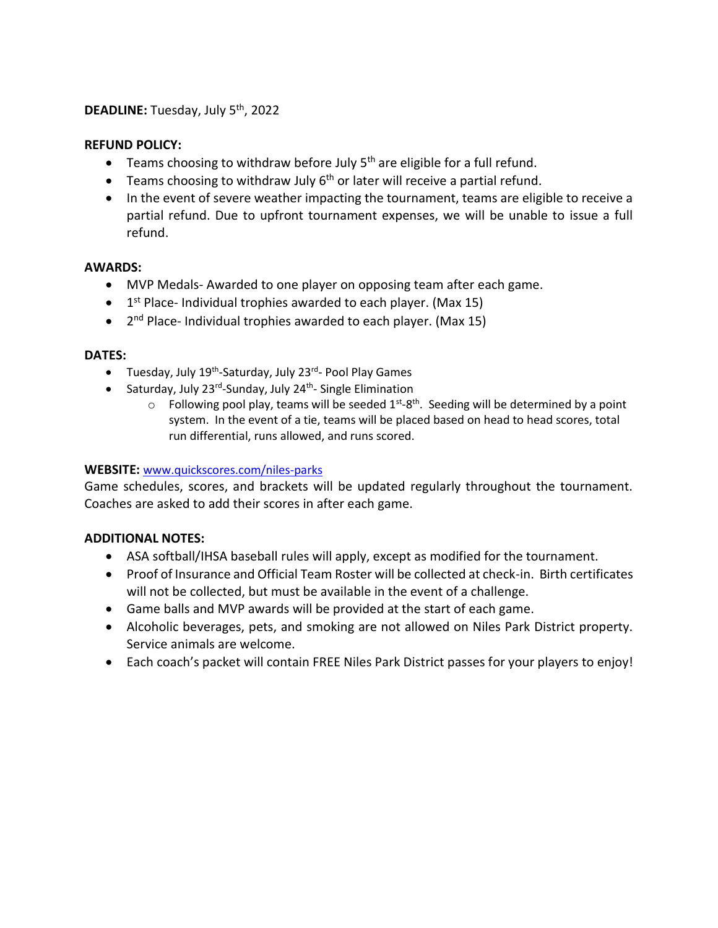## DEADLINE: Tuesday, July 5<sup>th</sup>, 2022

### **REFUND POLICY:**

- Teams choosing to withdraw before July  $5<sup>th</sup>$  are eligible for a full refund.
- $\bullet$  Teams choosing to withdraw July 6<sup>th</sup> or later will receive a partial refund.
- In the event of severe weather impacting the tournament, teams are eligible to receive a partial refund. Due to upfront tournament expenses, we will be unable to issue a full refund.

### **AWARDS:**

- MVP Medals- Awarded to one player on opposing team after each game.
- $\bullet$  1<sup>st</sup> Place- Individual trophies awarded to each player. (Max 15)
- 2<sup>nd</sup> Place- Individual trophies awarded to each player. (Max 15)

#### **DATES:**

- Tuesday, July 19<sup>th</sup>-Saturday, July 23<sup>rd</sup>- Pool Play Games
- Saturday, July 23<sup>rd</sup>-Sunday, July 24<sup>th</sup>- Single Elimination
	- $\circ$  Following pool play, teams will be seeded  $1^{st}$ -8<sup>th</sup>. Seeding will be determined by a point system. In the event of a tie, teams will be placed based on head to head scores, total run differential, runs allowed, and runs scored.

#### **WEBSITE:** [www.quickscores.com/niles-parks](http://www.quickscores.com/niles-parks)

Game schedules, scores, and brackets will be updated regularly throughout the tournament. Coaches are asked to add their scores in after each game.

# **ADDITIONAL NOTES:**

- ASA softball/IHSA baseball rules will apply, except as modified for the tournament.
- Proof of Insurance and Official Team Roster will be collected at check-in. Birth certificates will not be collected, but must be available in the event of a challenge.
- Game balls and MVP awards will be provided at the start of each game.
- Alcoholic beverages, pets, and smoking are not allowed on Niles Park District property. Service animals are welcome.
- Each coach's packet will contain FREE Niles Park District passes for your players to enjoy!